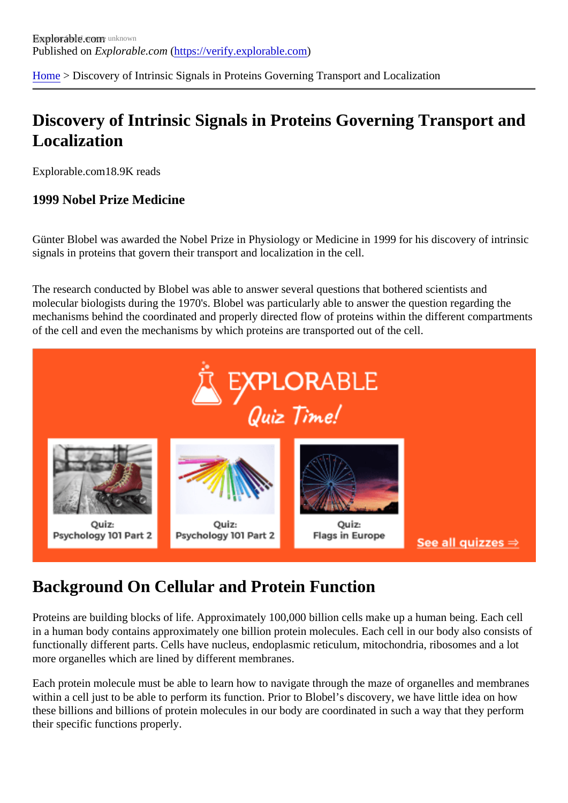[Home](https://verify.explorable.com/) > Discovery of Intrinsic Signals in Proteins Governing Transport and Localization

### Discovery of Intrinsic Signals in Proteins Governing Transport and Localization

Explorable.com 8.9K reads

#### 1999 Nobel Prize Medicine

Günter Blobel was awarded the Nobel Prize in Physiology or Medicine in 1999 for his discovery of intrinsic signals in proteins that govern their transport and localization in the cell.

The research conducted by Blobel was able to answer several questions that bothered scientists and molecular biologists during the 1970's. Blobel was particularly able to answer the question regarding the mechanisms behind the coordinated and properly directed flow of proteins within the different compartmer of the cell and even the mechanisms by which proteins are transported out of the cell.

#### Background On Cellular and Protein Function

Proteins are building blocks of life. Approximately 100,000 billion cells make up a human being. Each cell in a human body contains approximately one billion protein molecules. Each cell in our body also consists functionally different parts. Cells have nucleus, endoplasmic reticulum, mitochondria, ribosomes and a lot more organelles which are lined by different membranes.

Each protein molecule must be able to learn how to navigate through the maze of organelles and membra within a cell just to be able to perform its function. Prior to Blobel's discovery, we have little idea on how these billions and billions of protein molecules in our body are coordinated in such a way that they perform their specific functions properly.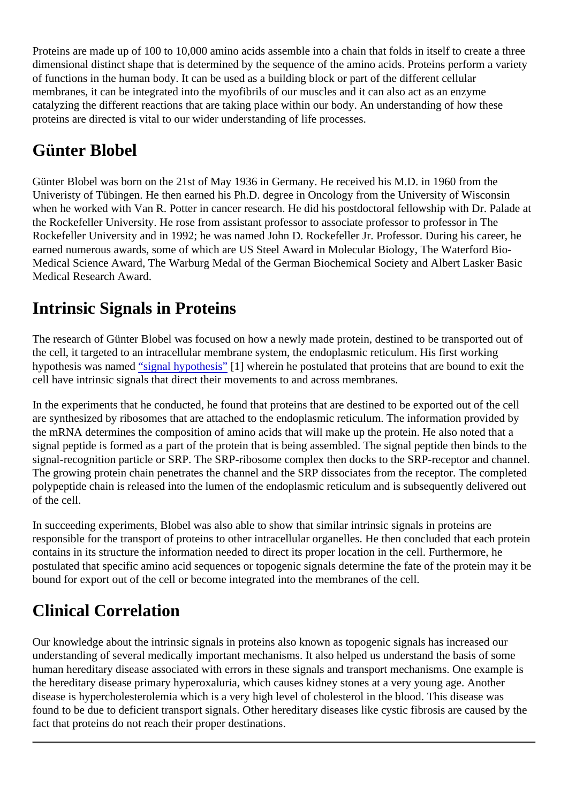Proteins are made up of 100 to 10,000 amino acids assemble into a chain that folds in itself to create a three dimensional distinct shape that is determined by the sequence of the amino acids. Proteins perform a variety of functions in the human body. It can be used as a building block or part of the different cellular membranes, it can be integrated into the myofibrils of our muscles and it can also act as an enzyme catalyzing the different reactions that are taking place within our body. An understanding of how these proteins are directed is vital to our wider understanding of life processes.

# Günter Blobel

Günter Blobel was born on the 21st of May 1936 in Germany. He received his M.D. in 1960 from the Univeristy of Tübingen. He then earned his Ph.D. degree in Oncology from the University of Wisconsin when he worked with Van R. Potter in cancer research. He did his postdoctoral fellowship with Dr. Palade the Rockefeller University. He rose from assistant professor to associate professor to professor in The Rockefeller University and in 1992; he was named John D. Rockefeller Jr. Professor. During his career, he earned numerous awards, some of which are US Steel Award in Molecular Biology, The Waterford Bio-Medical Science Award, The Warburg Medal of the German Biochemical Society and Albert Lasker Basic Medical Research Award.

## Intrinsic Signals in Proteins

The research of Günter Blobel was focused on how a newly made protein, destined to be transported out the cell, it targeted to an intracellular membrane system, the endoplasmic reticulum. His first working hypothesis was named dignal hypothesis<sup>[1]</sup> wherein he postulated that proteins that are bound to exit the cell have intrinsic signals that direct their movements to and across membranes.

In the experiments that he conducted, he found that proteins that are destined to be exported out of the ce are synthesized by ribosomes that are attached to the endoplasmic reticulum. The information provided by the mRNA determines the composition of amino acids that will make up the protein. He also noted that a signal peptide is formed as a part of the protein that is being assembled. The signal peptide then binds to the signal-recognition particle or SRP. The SRP-ribosome complex then docks to the SRP-receptor and channel. The growing protein chain penetrates the channel and the SRP dissociates from the receptor. The comple polypeptide chain is released into the lumen of the endoplasmic reticulum and is subsequently delivered o of the cell.

In succeeding experiments, Blobel was also able to show that similar intrinsic signals in proteins are responsible for the transport of proteins to other intracellular organelles. He then concluded that each prot contains in its structure the information needed to direct its proper location in the cell. Furthermore, he postulated that specific amino acid sequences or topogenic signals determine the fate of the protein may i bound for export out of the cell or become integrated into the membranes of the cell.

# Clinical Correlation

Our knowledge about the intrinsic signals in proteins also known as topogenic signals has increased our understanding of several medically important mechanisms. It also helped us understand the basis of some human hereditary disease associated with errors in these signals and transport mechanisms. One exampl the hereditary disease primary hyperoxaluria, which causes kidney stones at a very young age. Another disease is hypercholesterolemia which is a very high level of cholesterol in the blood. This disease was found to be due to deficient transport signals. Other hereditary diseases like cystic fibrosis are caused by t fact that proteins do not reach their proper destinations.